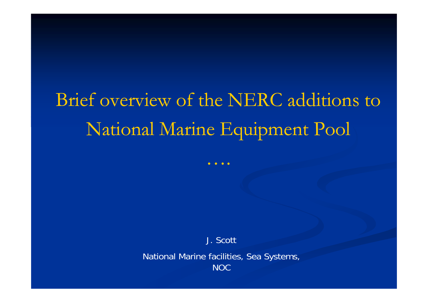# Brief overview of the NERC additions to National Marine Equipment Pool

….

J. Scott

National Marine facilities, Sea Systems, NOC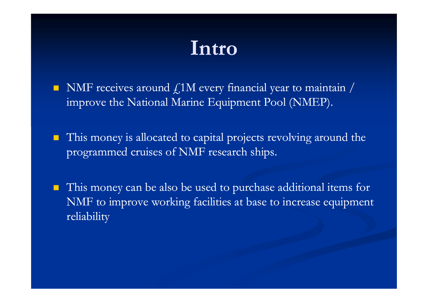## **Intro**

- NMF receives around  $\textsterling{1M}$  every financial year to maintain / improve the National Marine Equipment Pool (NMEP).
- $\blacksquare$  This money is allocated to capital projects revolving around the programmed cruises of NMF research ships.
- $\blacksquare$  This money can be also be used to purchase additional items for NMF to improve working facilities at base to increase equipment reliability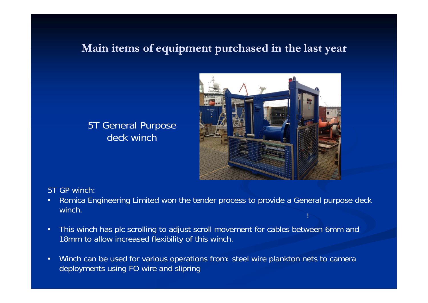#### 5T General Purpose deck winch



#### 5T GP winch:

- • Romica Engineering Limited won the tender process to provide a General purpose deck winch.
- • This winch has plc scrolling to adjust scroll movement for cables between 6mm and 18mm to allow increased flexibility of this winch.
- • Winch can be used for various operations from: steel wire plankton nets to camera deployments using FO wire and slipring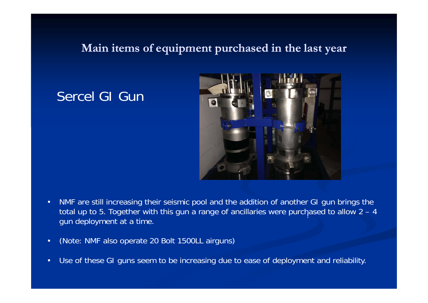## Sercel GI Gur



- • NMF are still increasing their seismic pool and the addition of another GI gun brings the total up to 5. Together with this gun a range of ancillaries were purchased to allow 2 – 4 gun deployment at a time
- $\bullet$ (Note: NMF also operate 20 Bolt 1500LL airguns)
- •Use of these GI guns seem to be increasing due to ease of deployment and reliability.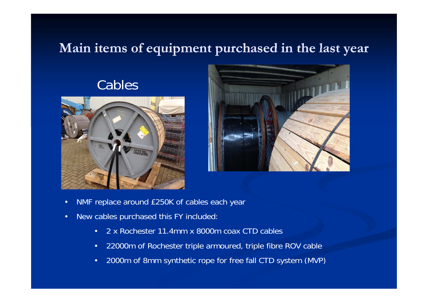## Cables





- •NMF replace around £250K of cables each year
- •• New cables purchased this FY included
	- •2 x Rochester 11.4mm x 8000m coax CTD cables
	- $\bullet$ 22000m of Rochester triple armoured, triple fibre ROV cable
	- •2000m of 8mm synthetic rope for free fall CTD system (MVP)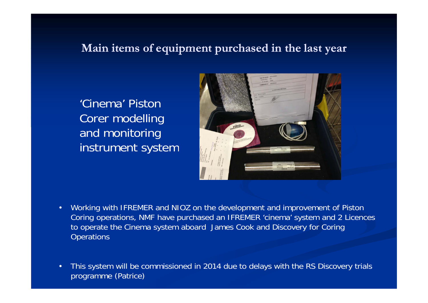'Cinema' Piston Corer modelling and monitoring instrument system



- • Working with IFREMER and NIOZ on the development and improvement of Piston Coring operations, NMF have purchased an IFREMER 'cinema' system and 2 Licences to operate the Cinema system aboard James Cook and Discovery for Coring **Operations**
- • This system will be commissioned in 2014 due to delays with the RS Discovery trials programme (Patrice)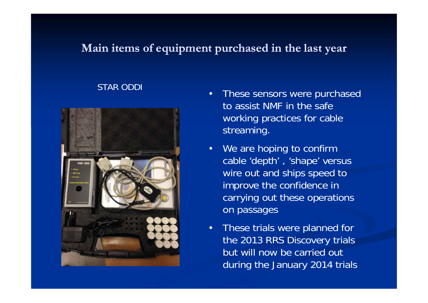#### STAR ODDI



- • These sensors were purchased to assist NMF in the safe working practices for cable streaming.
- We are hoping to confirm cable 'depth' , 'shape' versus wire out and ships speed to improve the confidence in carrying out these operations on passages
- • These trials were planned for the 2013 RRS Discovery trials but will now be carried outduring the January 2014 trials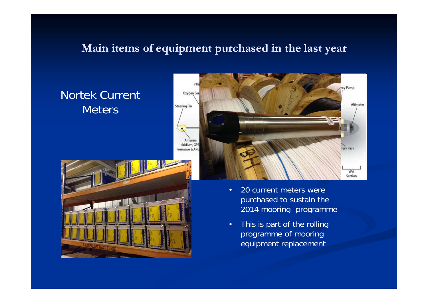## Nortek Current Meters





- • 20 current meters were purchased to sustain the 2014 mooring programme
- $\bullet$ This is part of the rollin g programme of mooring equipment replacement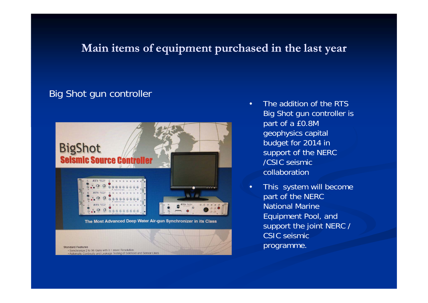#### Big Shot gun controller



**Standard Features** · Synchronize 2 to 96 Guns with 0.1 msec Resolution ntinuity and Leakage Testing of Solenoid and Sensor Lines

- • The addition of the RTS Big Shot gun controller is part of a £0.8M geophysics capital budget for 2014 in support of the NERC /CSIC seismic collaboration
- • This system will become part of the NERC National Marine Equipment Pool, and support the joint NERC / CSIC seismic programme.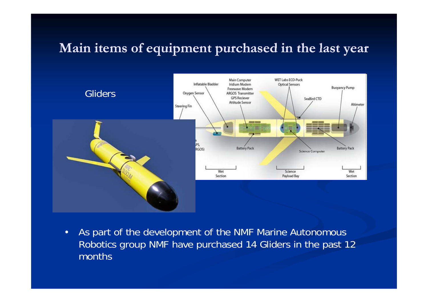

•As part of the development of the NMF Marine Autonomous Robotics group NMF have purchased 14 Gliders in the past 12 months